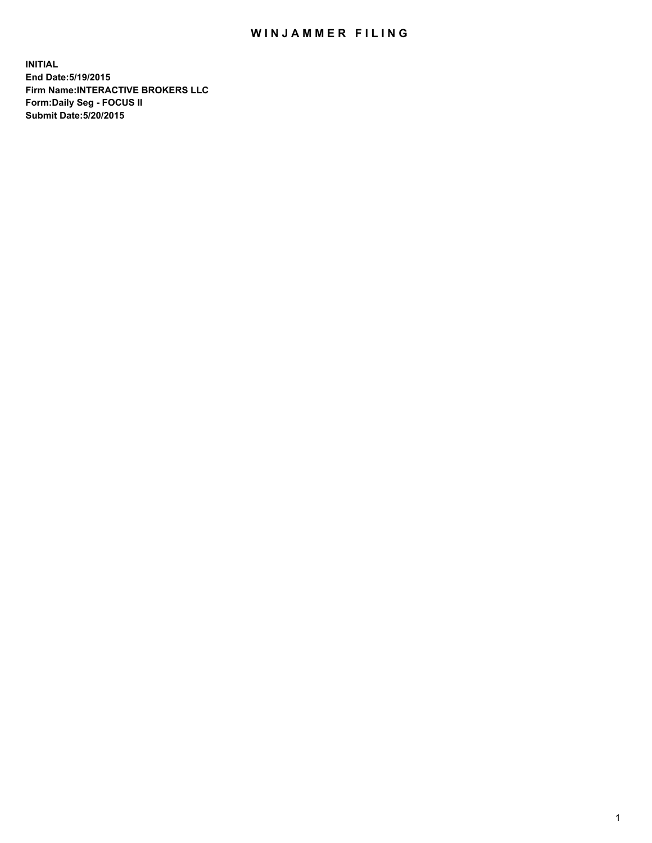## WIN JAMMER FILING

**INITIAL End Date:5/19/2015 Firm Name:INTERACTIVE BROKERS LLC Form:Daily Seg - FOCUS II Submit Date:5/20/2015**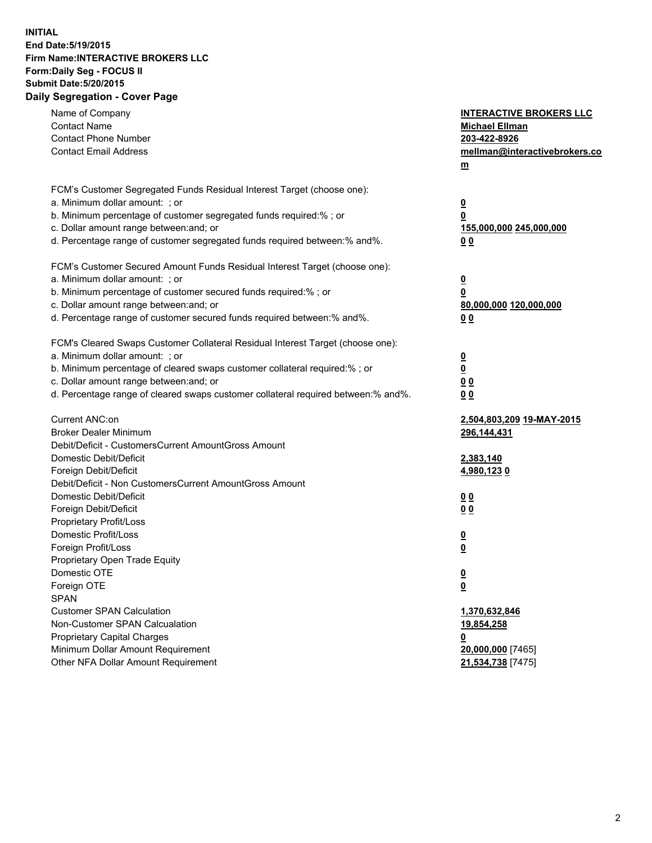## **INITIAL End Date:5/19/2015 Firm Name:INTERACTIVE BROKERS LLC Form:Daily Seg - FOCUS II Submit Date:5/20/2015 Daily Segregation - Cover Page**

| a. Minimum dollar amount: ; or<br>$\overline{\mathbf{0}}$<br>b. Minimum percentage of customer segregated funds required:% ; or<br>0<br>c. Dollar amount range between: and; or<br>155,000,000 245,000,000<br>0 <sub>0</sub><br>$\overline{\mathbf{0}}$<br>b. Minimum percentage of customer secured funds required:% ; or<br>0<br>80,000,000 120,000,000<br>0 <sub>0</sub><br>a. Minimum dollar amount: ; or<br>$\overline{\mathbf{0}}$<br>b. Minimum percentage of cleared swaps customer collateral required:% ; or<br>$\overline{\mathbf{0}}$<br>c. Dollar amount range between: and; or<br>0 <sub>0</sub><br>d. Percentage range of cleared swaps customer collateral required between:% and%.<br>0 <sub>0</sub><br>2,504,803,209 19-MAY-2015<br><b>Broker Dealer Minimum</b><br>296,144,431<br>Debit/Deficit - CustomersCurrent AmountGross Amount<br>Domestic Debit/Deficit<br>2,383,140<br>Foreign Debit/Deficit<br>4,980,1230<br>Debit/Deficit - Non CustomersCurrent AmountGross Amount<br>Domestic Debit/Deficit<br>0 <sub>0</sub><br>Foreign Debit/Deficit<br>0 <sub>0</sub><br>Proprietary Profit/Loss<br>Domestic Profit/Loss<br>$\overline{\mathbf{0}}$<br>Foreign Profit/Loss<br>$\underline{\mathbf{0}}$<br>Proprietary Open Trade Equity<br>Domestic OTE<br><u>0</u><br>Foreign OTE<br><u>0</u><br><b>SPAN</b><br>1,370,632,846<br>19,854,258<br><u>0</u><br>20,000,000 [7465]<br>Other NFA Dollar Amount Requirement<br>21,534,738 [7475] | Name of Company<br><b>Contact Name</b><br><b>Contact Phone Number</b><br><b>Contact Email Address</b> | <b>INTERACTIVE BROKERS LLC</b><br><b>Michael Ellman</b><br>203-422-8926<br>mellman@interactivebrokers.co<br>$m$ |
|--------------------------------------------------------------------------------------------------------------------------------------------------------------------------------------------------------------------------------------------------------------------------------------------------------------------------------------------------------------------------------------------------------------------------------------------------------------------------------------------------------------------------------------------------------------------------------------------------------------------------------------------------------------------------------------------------------------------------------------------------------------------------------------------------------------------------------------------------------------------------------------------------------------------------------------------------------------------------------------------------------------------------------------------------------------------------------------------------------------------------------------------------------------------------------------------------------------------------------------------------------------------------------------------------------------------------------------------------------------------------------------------------------------------------------------------------------------|-------------------------------------------------------------------------------------------------------|-----------------------------------------------------------------------------------------------------------------|
|                                                                                                                                                                                                                                                                                                                                                                                                                                                                                                                                                                                                                                                                                                                                                                                                                                                                                                                                                                                                                                                                                                                                                                                                                                                                                                                                                                                                                                                              | FCM's Customer Segregated Funds Residual Interest Target (choose one):                                |                                                                                                                 |
|                                                                                                                                                                                                                                                                                                                                                                                                                                                                                                                                                                                                                                                                                                                                                                                                                                                                                                                                                                                                                                                                                                                                                                                                                                                                                                                                                                                                                                                              |                                                                                                       |                                                                                                                 |
|                                                                                                                                                                                                                                                                                                                                                                                                                                                                                                                                                                                                                                                                                                                                                                                                                                                                                                                                                                                                                                                                                                                                                                                                                                                                                                                                                                                                                                                              |                                                                                                       |                                                                                                                 |
|                                                                                                                                                                                                                                                                                                                                                                                                                                                                                                                                                                                                                                                                                                                                                                                                                                                                                                                                                                                                                                                                                                                                                                                                                                                                                                                                                                                                                                                              | d. Percentage range of customer segregated funds required between:% and%.                             |                                                                                                                 |
|                                                                                                                                                                                                                                                                                                                                                                                                                                                                                                                                                                                                                                                                                                                                                                                                                                                                                                                                                                                                                                                                                                                                                                                                                                                                                                                                                                                                                                                              | FCM's Customer Secured Amount Funds Residual Interest Target (choose one):                            |                                                                                                                 |
|                                                                                                                                                                                                                                                                                                                                                                                                                                                                                                                                                                                                                                                                                                                                                                                                                                                                                                                                                                                                                                                                                                                                                                                                                                                                                                                                                                                                                                                              | a. Minimum dollar amount: ; or                                                                        |                                                                                                                 |
|                                                                                                                                                                                                                                                                                                                                                                                                                                                                                                                                                                                                                                                                                                                                                                                                                                                                                                                                                                                                                                                                                                                                                                                                                                                                                                                                                                                                                                                              |                                                                                                       |                                                                                                                 |
|                                                                                                                                                                                                                                                                                                                                                                                                                                                                                                                                                                                                                                                                                                                                                                                                                                                                                                                                                                                                                                                                                                                                                                                                                                                                                                                                                                                                                                                              | c. Dollar amount range between: and; or                                                               |                                                                                                                 |
|                                                                                                                                                                                                                                                                                                                                                                                                                                                                                                                                                                                                                                                                                                                                                                                                                                                                                                                                                                                                                                                                                                                                                                                                                                                                                                                                                                                                                                                              | d. Percentage range of customer secured funds required between:% and%.                                |                                                                                                                 |
|                                                                                                                                                                                                                                                                                                                                                                                                                                                                                                                                                                                                                                                                                                                                                                                                                                                                                                                                                                                                                                                                                                                                                                                                                                                                                                                                                                                                                                                              | FCM's Cleared Swaps Customer Collateral Residual Interest Target (choose one):                        |                                                                                                                 |
|                                                                                                                                                                                                                                                                                                                                                                                                                                                                                                                                                                                                                                                                                                                                                                                                                                                                                                                                                                                                                                                                                                                                                                                                                                                                                                                                                                                                                                                              |                                                                                                       |                                                                                                                 |
|                                                                                                                                                                                                                                                                                                                                                                                                                                                                                                                                                                                                                                                                                                                                                                                                                                                                                                                                                                                                                                                                                                                                                                                                                                                                                                                                                                                                                                                              |                                                                                                       |                                                                                                                 |
|                                                                                                                                                                                                                                                                                                                                                                                                                                                                                                                                                                                                                                                                                                                                                                                                                                                                                                                                                                                                                                                                                                                                                                                                                                                                                                                                                                                                                                                              |                                                                                                       |                                                                                                                 |
|                                                                                                                                                                                                                                                                                                                                                                                                                                                                                                                                                                                                                                                                                                                                                                                                                                                                                                                                                                                                                                                                                                                                                                                                                                                                                                                                                                                                                                                              |                                                                                                       |                                                                                                                 |
|                                                                                                                                                                                                                                                                                                                                                                                                                                                                                                                                                                                                                                                                                                                                                                                                                                                                                                                                                                                                                                                                                                                                                                                                                                                                                                                                                                                                                                                              | Current ANC:on                                                                                        |                                                                                                                 |
|                                                                                                                                                                                                                                                                                                                                                                                                                                                                                                                                                                                                                                                                                                                                                                                                                                                                                                                                                                                                                                                                                                                                                                                                                                                                                                                                                                                                                                                              |                                                                                                       |                                                                                                                 |
|                                                                                                                                                                                                                                                                                                                                                                                                                                                                                                                                                                                                                                                                                                                                                                                                                                                                                                                                                                                                                                                                                                                                                                                                                                                                                                                                                                                                                                                              |                                                                                                       |                                                                                                                 |
|                                                                                                                                                                                                                                                                                                                                                                                                                                                                                                                                                                                                                                                                                                                                                                                                                                                                                                                                                                                                                                                                                                                                                                                                                                                                                                                                                                                                                                                              |                                                                                                       |                                                                                                                 |
|                                                                                                                                                                                                                                                                                                                                                                                                                                                                                                                                                                                                                                                                                                                                                                                                                                                                                                                                                                                                                                                                                                                                                                                                                                                                                                                                                                                                                                                              |                                                                                                       |                                                                                                                 |
|                                                                                                                                                                                                                                                                                                                                                                                                                                                                                                                                                                                                                                                                                                                                                                                                                                                                                                                                                                                                                                                                                                                                                                                                                                                                                                                                                                                                                                                              |                                                                                                       |                                                                                                                 |
|                                                                                                                                                                                                                                                                                                                                                                                                                                                                                                                                                                                                                                                                                                                                                                                                                                                                                                                                                                                                                                                                                                                                                                                                                                                                                                                                                                                                                                                              |                                                                                                       |                                                                                                                 |
|                                                                                                                                                                                                                                                                                                                                                                                                                                                                                                                                                                                                                                                                                                                                                                                                                                                                                                                                                                                                                                                                                                                                                                                                                                                                                                                                                                                                                                                              |                                                                                                       |                                                                                                                 |
|                                                                                                                                                                                                                                                                                                                                                                                                                                                                                                                                                                                                                                                                                                                                                                                                                                                                                                                                                                                                                                                                                                                                                                                                                                                                                                                                                                                                                                                              |                                                                                                       |                                                                                                                 |
|                                                                                                                                                                                                                                                                                                                                                                                                                                                                                                                                                                                                                                                                                                                                                                                                                                                                                                                                                                                                                                                                                                                                                                                                                                                                                                                                                                                                                                                              |                                                                                                       |                                                                                                                 |
|                                                                                                                                                                                                                                                                                                                                                                                                                                                                                                                                                                                                                                                                                                                                                                                                                                                                                                                                                                                                                                                                                                                                                                                                                                                                                                                                                                                                                                                              |                                                                                                       |                                                                                                                 |
|                                                                                                                                                                                                                                                                                                                                                                                                                                                                                                                                                                                                                                                                                                                                                                                                                                                                                                                                                                                                                                                                                                                                                                                                                                                                                                                                                                                                                                                              |                                                                                                       |                                                                                                                 |
|                                                                                                                                                                                                                                                                                                                                                                                                                                                                                                                                                                                                                                                                                                                                                                                                                                                                                                                                                                                                                                                                                                                                                                                                                                                                                                                                                                                                                                                              |                                                                                                       |                                                                                                                 |
|                                                                                                                                                                                                                                                                                                                                                                                                                                                                                                                                                                                                                                                                                                                                                                                                                                                                                                                                                                                                                                                                                                                                                                                                                                                                                                                                                                                                                                                              |                                                                                                       |                                                                                                                 |
|                                                                                                                                                                                                                                                                                                                                                                                                                                                                                                                                                                                                                                                                                                                                                                                                                                                                                                                                                                                                                                                                                                                                                                                                                                                                                                                                                                                                                                                              | <b>Customer SPAN Calculation</b>                                                                      |                                                                                                                 |
|                                                                                                                                                                                                                                                                                                                                                                                                                                                                                                                                                                                                                                                                                                                                                                                                                                                                                                                                                                                                                                                                                                                                                                                                                                                                                                                                                                                                                                                              | Non-Customer SPAN Calcualation                                                                        |                                                                                                                 |
|                                                                                                                                                                                                                                                                                                                                                                                                                                                                                                                                                                                                                                                                                                                                                                                                                                                                                                                                                                                                                                                                                                                                                                                                                                                                                                                                                                                                                                                              | Proprietary Capital Charges                                                                           |                                                                                                                 |
|                                                                                                                                                                                                                                                                                                                                                                                                                                                                                                                                                                                                                                                                                                                                                                                                                                                                                                                                                                                                                                                                                                                                                                                                                                                                                                                                                                                                                                                              | Minimum Dollar Amount Requirement                                                                     |                                                                                                                 |
|                                                                                                                                                                                                                                                                                                                                                                                                                                                                                                                                                                                                                                                                                                                                                                                                                                                                                                                                                                                                                                                                                                                                                                                                                                                                                                                                                                                                                                                              |                                                                                                       |                                                                                                                 |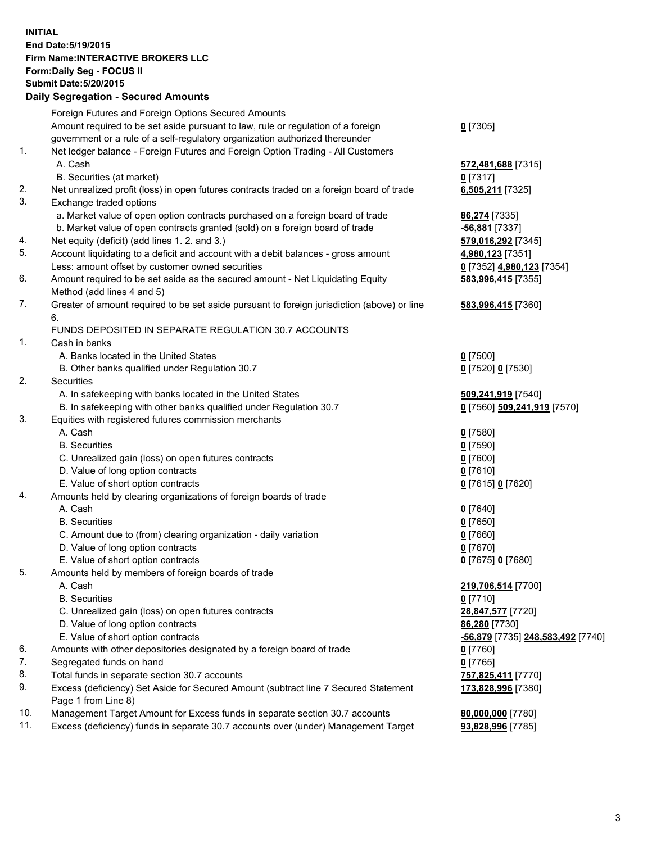## **INITIAL End Date:5/19/2015 Firm Name:INTERACTIVE BROKERS LLC Form:Daily Seg - FOCUS II Submit Date:5/20/2015 Daily Segregation - Secured Amounts**

|          | Foreign Futures and Foreign Options Secured Amounts                                         |                                   |
|----------|---------------------------------------------------------------------------------------------|-----------------------------------|
|          | Amount required to be set aside pursuant to law, rule or regulation of a foreign            | $0$ [7305]                        |
|          | government or a rule of a self-regulatory organization authorized thereunder                |                                   |
| 1.       | Net ledger balance - Foreign Futures and Foreign Option Trading - All Customers             |                                   |
|          | A. Cash                                                                                     | 572,481,688 [7315]                |
|          | B. Securities (at market)                                                                   | $0$ [7317]                        |
| 2.       | Net unrealized profit (loss) in open futures contracts traded on a foreign board of trade   | 6,505,211 [7325]                  |
| 3.       | Exchange traded options                                                                     |                                   |
|          | a. Market value of open option contracts purchased on a foreign board of trade              | 86,274 [7335]                     |
|          | b. Market value of open contracts granted (sold) on a foreign board of trade                | $-56,881$ [7337]                  |
| 4.       | Net equity (deficit) (add lines 1.2. and 3.)                                                | 579,016,292 [7345]                |
| 5.       | Account liquidating to a deficit and account with a debit balances - gross amount           | 4,980,123 [7351]                  |
|          | Less: amount offset by customer owned securities                                            | 0 [7352] 4,980,123 [7354]         |
| 6.       | Amount required to be set aside as the secured amount - Net Liquidating Equity              | 583,996,415 [7355]                |
|          | Method (add lines 4 and 5)                                                                  |                                   |
| 7.       | Greater of amount required to be set aside pursuant to foreign jurisdiction (above) or line | 583,996,415 [7360]                |
|          | 6.                                                                                          |                                   |
|          | FUNDS DEPOSITED IN SEPARATE REGULATION 30.7 ACCOUNTS                                        |                                   |
| 1.       | Cash in banks                                                                               |                                   |
|          | A. Banks located in the United States                                                       | $0$ [7500]                        |
|          | B. Other banks qualified under Regulation 30.7                                              | 0 [7520] 0 [7530]                 |
| 2.       | Securities                                                                                  |                                   |
|          | A. In safekeeping with banks located in the United States                                   | 509,241,919 [7540]                |
|          | B. In safekeeping with other banks qualified under Regulation 30.7                          | 0 [7560] 509,241,919 [7570]       |
| 3.       | Equities with registered futures commission merchants                                       |                                   |
|          | A. Cash                                                                                     | $0$ [7580]                        |
|          | <b>B.</b> Securities                                                                        | $0$ [7590]                        |
|          | C. Unrealized gain (loss) on open futures contracts                                         | $0$ [7600]                        |
|          | D. Value of long option contracts                                                           | $0$ [7610]                        |
|          | E. Value of short option contracts                                                          | 0 [7615] 0 [7620]                 |
| 4.       | Amounts held by clearing organizations of foreign boards of trade                           |                                   |
|          | A. Cash                                                                                     | $0$ [7640]                        |
|          | <b>B.</b> Securities                                                                        | $0$ [7650]                        |
|          | C. Amount due to (from) clearing organization - daily variation                             | $0$ [7660]                        |
|          | D. Value of long option contracts                                                           | $0$ [7670]                        |
|          | E. Value of short option contracts                                                          | 0 [7675] 0 [7680]                 |
| 5.       | Amounts held by members of foreign boards of trade                                          |                                   |
|          | A. Cash                                                                                     | 219,706,514 [7700]                |
|          | <b>B.</b> Securities                                                                        | $0$ [7710]                        |
|          | C. Unrealized gain (loss) on open futures contracts                                         | 28,847,577 [7720]                 |
|          | D. Value of long option contracts                                                           | 86,280 [7730]                     |
|          | E. Value of short option contracts                                                          |                                   |
|          |                                                                                             | -56,879 [7735] 248,583,492 [7740] |
| 6.<br>7. | Amounts with other depositories designated by a foreign board of trade                      | $0$ [7760]                        |
|          | Segregated funds on hand                                                                    | $0$ [7765]                        |
| 8.       | Total funds in separate section 30.7 accounts                                               | 757,825,411 [7770]                |
| 9.       | Excess (deficiency) Set Aside for Secured Amount (subtract line 7 Secured Statement         | 173,828,996 [7380]                |
|          | Page 1 from Line 8)                                                                         |                                   |
| 10.      | Management Target Amount for Excess funds in separate section 30.7 accounts                 | 80,000,000 [7780]                 |
| 11.      | Excess (deficiency) funds in separate 30.7 accounts over (under) Management Target          | 93,828,996 [7785]                 |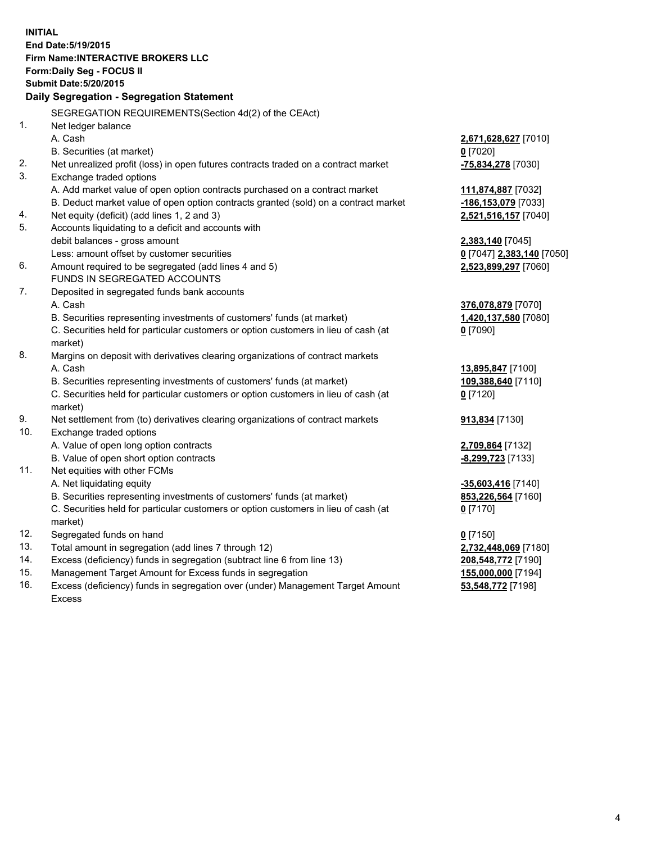**INITIAL End Date:5/19/2015 Firm Name:INTERACTIVE BROKERS LLC Form:Daily Seg - FOCUS II Submit Date:5/20/2015 Daily Segregation - Segregation Statement** SEGREGATION REQUIREMENTS(Section 4d(2) of the CEAct) 1. Net ledger balance A. Cash **2,671,628,627** [7010] B. Securities (at market) **0** [7020] 2. Net unrealized profit (loss) in open futures contracts traded on a contract market **-75,834,278** [7030] 3. Exchange traded options A. Add market value of open option contracts purchased on a contract market **111,874,887** [7032] B. Deduct market value of open option contracts granted (sold) on a contract market **-186,153,079** [7033] 4. Net equity (deficit) (add lines 1, 2 and 3) **2,521,516,157** [7040] 5. Accounts liquidating to a deficit and accounts with debit balances - gross amount **2,383,140** [7045] Less: amount offset by customer securities **0** [7047] **2,383,140** [7050] 6. Amount required to be segregated (add lines 4 and 5) **2,523,899,297** [7060] FUNDS IN SEGREGATED ACCOUNTS 7. Deposited in segregated funds bank accounts A. Cash **376,078,879** [7070] B. Securities representing investments of customers' funds (at market) **1,420,137,580** [7080] C. Securities held for particular customers or option customers in lieu of cash (at market) **0** [7090] 8. Margins on deposit with derivatives clearing organizations of contract markets A. Cash **13,895,847** [7100] B. Securities representing investments of customers' funds (at market) **109,388,640** [7110] C. Securities held for particular customers or option customers in lieu of cash (at market) **0** [7120] 9. Net settlement from (to) derivatives clearing organizations of contract markets **913,834** [7130] 10. Exchange traded options A. Value of open long option contracts **2,709,864** [7132] B. Value of open short option contracts **-8,299,723** [7133] 11. Net equities with other FCMs A. Net liquidating equity **-35,603,416** [7140] B. Securities representing investments of customers' funds (at market) **853,226,564** [7160] C. Securities held for particular customers or option customers in lieu of cash (at market) **0** [7170] 12. Segregated funds on hand **0** [7150] 13. Total amount in segregation (add lines 7 through 12) **2,732,448,069** [7180] 14. Excess (deficiency) funds in segregation (subtract line 6 from line 13) **208,548,772** [7190] 15. Management Target Amount for Excess funds in segregation **155,000,000** [7194]

16. Excess (deficiency) funds in segregation over (under) Management Target Amount Excess

**53,548,772** [7198]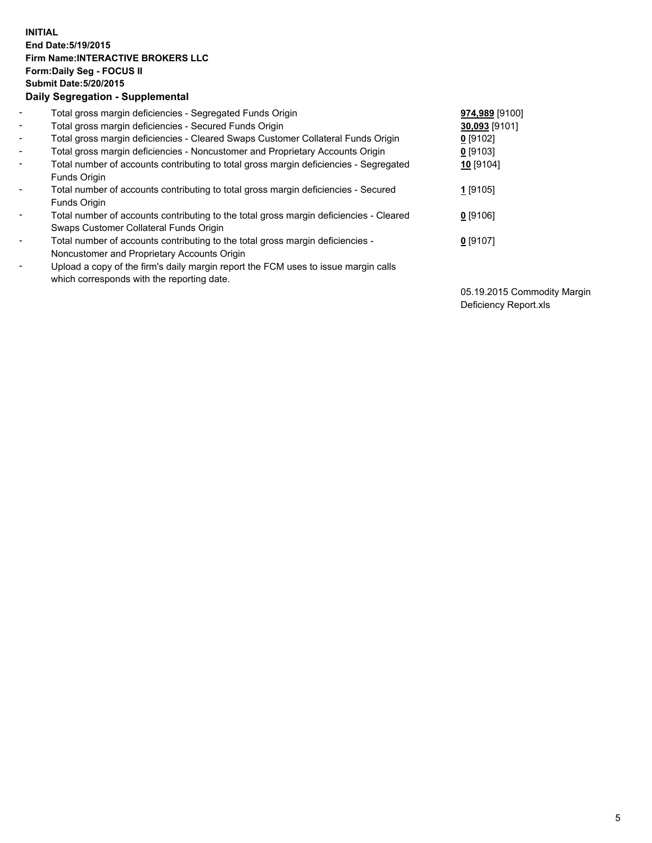## **INITIAL End Date:5/19/2015 Firm Name:INTERACTIVE BROKERS LLC Form:Daily Seg - FOCUS II Submit Date:5/20/2015 Daily Segregation - Supplemental**

| $\blacksquare$           | Total gross margin deficiencies - Segregated Funds Origin                              | 974,989 [9100] |
|--------------------------|----------------------------------------------------------------------------------------|----------------|
| $\sim$                   | Total gross margin deficiencies - Secured Funds Origin                                 | 30,093 [9101]  |
| $\blacksquare$           | Total gross margin deficiencies - Cleared Swaps Customer Collateral Funds Origin       | $0$ [9102]     |
| $\blacksquare$           | Total gross margin deficiencies - Noncustomer and Proprietary Accounts Origin          | $0$ [9103]     |
| $\blacksquare$           | Total number of accounts contributing to total gross margin deficiencies - Segregated  | 10 [9104]      |
|                          | Funds Origin                                                                           |                |
| $\blacksquare$           | Total number of accounts contributing to total gross margin deficiencies - Secured     | 1 [9105]       |
|                          | <b>Funds Origin</b>                                                                    |                |
| $\blacksquare$           | Total number of accounts contributing to the total gross margin deficiencies - Cleared | $0$ [9106]     |
|                          | Swaps Customer Collateral Funds Origin                                                 |                |
| $\overline{\phantom{a}}$ | Total number of accounts contributing to the total gross margin deficiencies -         | $0$ [9107]     |
|                          | Noncustomer and Proprietary Accounts Origin                                            |                |
| $\overline{\phantom{a}}$ | Upload a copy of the firm's daily margin report the FCM uses to issue margin calls     |                |
|                          | which corresponds with the reporting date.                                             |                |

05.19.2015 Commodity Margin Deficiency Report.xls